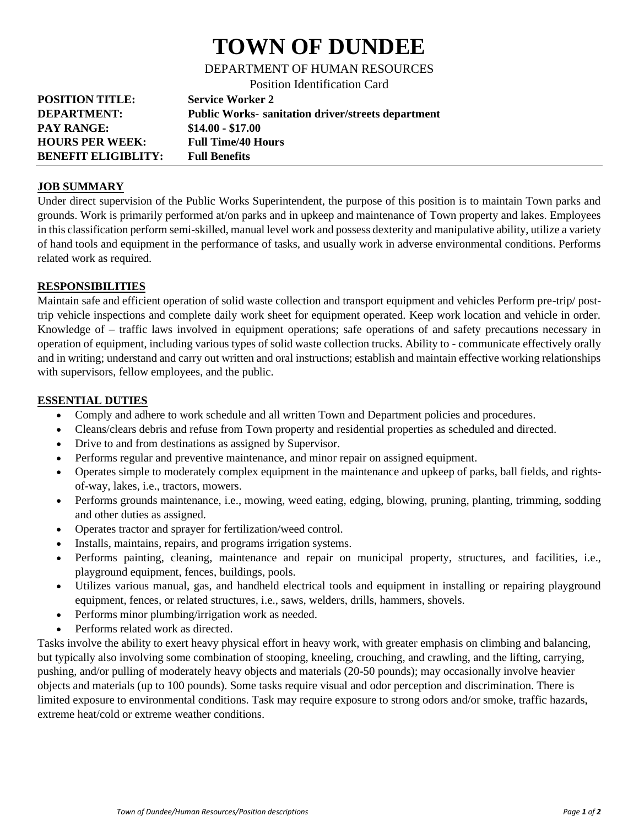# **TOWN OF DUNDEE**

DEPARTMENT OF HUMAN RESOURCES

Position Identification Card

| <b>POSITION TITLE:</b>     | <b>Service Worker 2</b>                                   |
|----------------------------|-----------------------------------------------------------|
| <b>DEPARTMENT:</b>         | <b>Public Works- sanitation driver/streets department</b> |
| <b>PAY RANGE:</b>          | $$14.00 - $17.00$                                         |
| <b>HOURS PER WEEK:</b>     | <b>Full Time/40 Hours</b>                                 |
| <b>BENEFIT ELIGIBLITY:</b> | <b>Full Benefits</b>                                      |

### **JOB SUMMARY**

Under direct supervision of the Public Works Superintendent, the purpose of this position is to maintain Town parks and grounds. Work is primarily performed at/on parks and in upkeep and maintenance of Town property and lakes. Employees in this classification perform semi-skilled, manual level work and possess dexterity and manipulative ability, utilize a variety of hand tools and equipment in the performance of tasks, and usually work in adverse environmental conditions. Performs related work as required.

### **RESPONSIBILITIES**

Maintain safe and efficient operation of solid waste collection and transport equipment and vehicles Perform pre-trip/ posttrip vehicle inspections and complete daily work sheet for equipment operated. Keep work location and vehicle in order. Knowledge of – traffic laws involved in equipment operations; safe operations of and safety precautions necessary in operation of equipment, including various types of solid waste collection trucks. Ability to - communicate effectively orally and in writing; understand and carry out written and oral instructions; establish and maintain effective working relationships with supervisors, fellow employees, and the public.

### **ESSENTIAL DUTIES**

- Comply and adhere to work schedule and all written Town and Department policies and procedures.
- Cleans/clears debris and refuse from Town property and residential properties as scheduled and directed.
- Drive to and from destinations as assigned by Supervisor.
- Performs regular and preventive maintenance, and minor repair on assigned equipment.
- Operates simple to moderately complex equipment in the maintenance and upkeep of parks, ball fields, and rightsof-way, lakes, i.e., tractors, mowers.
- Performs grounds maintenance, i.e., mowing, weed eating, edging, blowing, pruning, planting, trimming, sodding and other duties as assigned.
- Operates tractor and sprayer for fertilization/weed control.
- Installs, maintains, repairs, and programs irrigation systems.
- Performs painting, cleaning, maintenance and repair on municipal property, structures, and facilities, i.e., playground equipment, fences, buildings, pools.
- Utilizes various manual, gas, and handheld electrical tools and equipment in installing or repairing playground equipment, fences, or related structures, i.e., saws, welders, drills, hammers, shovels.
- Performs minor plumbing/irrigation work as needed.
- Performs related work as directed.

Tasks involve the ability to exert heavy physical effort in heavy work, with greater emphasis on climbing and balancing, but typically also involving some combination of stooping, kneeling, crouching, and crawling, and the lifting, carrying, pushing, and/or pulling of moderately heavy objects and materials (20-50 pounds); may occasionally involve heavier objects and materials (up to 100 pounds). Some tasks require visual and odor perception and discrimination. There is limited exposure to environmental conditions. Task may require exposure to strong odors and/or smoke, traffic hazards, extreme heat/cold or extreme weather conditions.